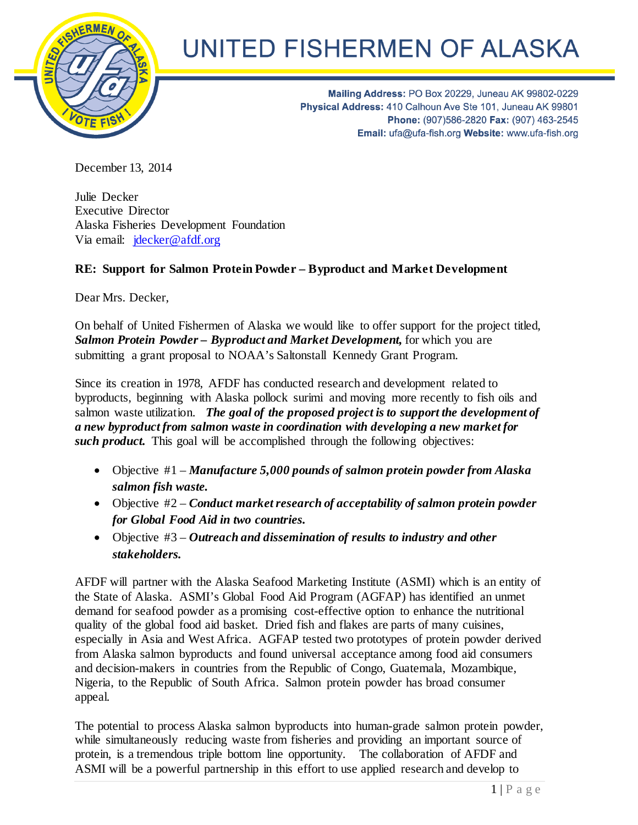

## UNITED FISHERMEN OF ALASKA

Mailing Address: PO Box 20229, Juneau AK 99802-0229 Physical Address: 410 Calhoun Ave Ste 101, Juneau AK 99801 Phone: (907)586-2820 Fax: (907) 463-2545 Email: ufa@ufa-fish.org Website: www.ufa-fish.org

December 13, 2014

Julie Decker Executive Director Alaska Fisheries Development Foundation Via email: [jdecker@afdf.org](mailto:jdecker@afdf.org)

## **RE: Support for Salmon Protein Powder – Byproduct and Market Development**

Dear Mrs. Decker,

On behalf of United Fishermen of Alaska we would like to offer support for the project titled, *Salmon Protein Powder – Byproduct and Market Development,* for which you are submitting a grant proposal to NOAA's Saltonstall Kennedy Grant Program.

Since its creation in 1978, AFDF has conducted research and development related to byproducts, beginning with Alaska pollock surimi and moving more recently to fish oils and salmon waste utilization. *The goal of the proposed project is to support the development of a new byproduct from salmon waste in coordination with developing a new market for such product*. This goal will be accomplished through the following objectives:

- Objective #1 *Manufacture 5,000 pounds of salmon protein powder from Alaska salmon fish waste.*
- Objective #2 *Conduct market research of acceptability of salmon protein powder for Global Food Aid in two countries.*
- Objective #3 *Outreach and dissemination of results to industry and other stakeholders.*

AFDF will partner with the Alaska Seafood Marketing Institute (ASMI) which is an entity of the State of Alaska. ASMI's Global Food Aid Program (AGFAP) has identified an unmet demand for seafood powder as a promising cost-effective option to enhance the nutritional quality of the global food aid basket. Dried fish and flakes are parts of many cuisines, especially in Asia and West Africa. AGFAP tested two prototypes of protein powder derived from Alaska salmon byproducts and found universal acceptance among food aid consumers and decision-makers in countries from the Republic of Congo, Guatemala, Mozambique, Nigeria, to the Republic of South Africa. Salmon protein powder has broad consumer appeal.

The potential to process Alaska salmon byproducts into human-grade salmon protein powder, while simultaneously reducing waste from fisheries and providing an important source of protein, is a tremendous triple bottom line opportunity. The collaboration of AFDF and ASMI will be a powerful partnership in this effort to use applied research and develop to